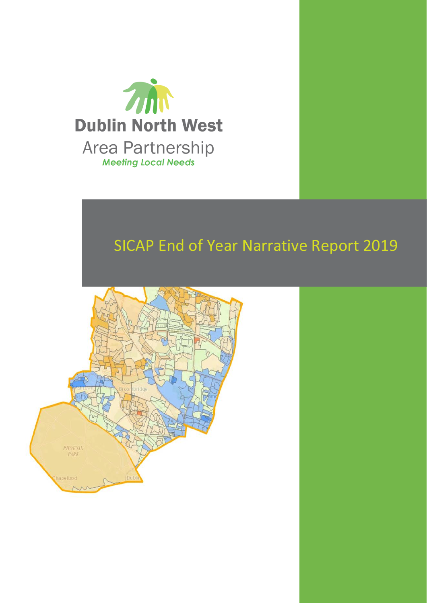

# SICAP End of Year Narrative Report 2019

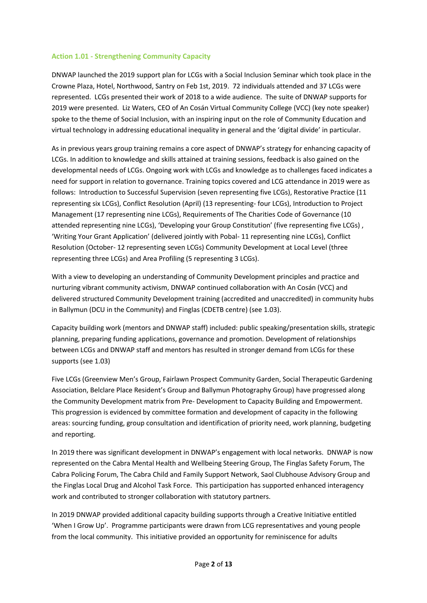#### **Action 1.01 - Strengthening Community Capacity**

DNWAP launched the 2019 support plan for LCGs with a Social Inclusion Seminar which took place in the Crowne Plaza, Hotel, Northwood, Santry on Feb 1st, 2019. 72 individuals attended and 37 LCGs were represented. LCGs presented their work of 2018 to a wide audience. The suite of DNWAP supports for 2019 were presented. Liz Waters, CEO of An Cosán Virtual Community College (VCC) (key note speaker) spoke to the theme of Social Inclusion, with an inspiring input on the role of Community Education and virtual technology in addressing educational inequality in general and the 'digital divide' in particular.

As in previous years group training remains a core aspect of DNWAP's strategy for enhancing capacity of LCGs. In addition to knowledge and skills attained at training sessions, feedback is also gained on the developmental needs of LCGs. Ongoing work with LCGs and knowledge as to challenges faced indicates a need for support in relation to governance. Training topics covered and LCG attendance in 2019 were as follows: Introduction to Successful Supervision (seven representing five LCGs), Restorative Practice (11 representing six LCGs), Conflict Resolution (April) (13 representing- four LCGs), Introduction to Project Management (17 representing nine LCGs), Requirements of The Charities Code of Governance (10 attended representing nine LCGs), 'Developing your Group Constitution' (five representing five LCGs) , 'Writing Your Grant Application' (delivered jointly with Pobal- 11 representing nine LCGs), Conflict Resolution (October- 12 representing seven LCGs) Community Development at Local Level (three representing three LCGs) and Area Profiling (5 representing 3 LCGs).

With a view to developing an understanding of Community Development principles and practice and nurturing vibrant community activism, DNWAP continued collaboration with An Cosán (VCC) and delivered structured Community Development training (accredited and unaccredited) in community hubs in Ballymun (DCU in the Community) and Finglas (CDETB centre) (see 1.03).

Capacity building work (mentors and DNWAP staff) included: public speaking/presentation skills, strategic planning, preparing funding applications, governance and promotion. Development of relationships between LCGs and DNWAP staff and mentors has resulted in stronger demand from LCGs for these supports (see 1.03)

Five LCGs (Greenview Men's Group, Fairlawn Prospect Community Garden, Social Therapeutic Gardening Association, Belclare Place Resident's Group and Ballymun Photography Group) have progressed along the Community Development matrix from Pre- Development to Capacity Building and Empowerment. This progression is evidenced by committee formation and development of capacity in the following areas: sourcing funding, group consultation and identification of priority need, work planning, budgeting and reporting.

In 2019 there was significant development in DNWAP's engagement with local networks. DNWAP is now represented on the Cabra Mental Health and Wellbeing Steering Group, The Finglas Safety Forum, The Cabra Policing Forum, The Cabra Child and Family Support Network, Saol Clubhouse Advisory Group and the Finglas Local Drug and Alcohol Task Force. This participation has supported enhanced interagency work and contributed to stronger collaboration with statutory partners.

In 2019 DNWAP provided additional capacity building supports through a Creative Initiative entitled 'When I Grow Up'. Programme participants were drawn from LCG representatives and young people from the local community. This initiative provided an opportunity for reminiscence for adults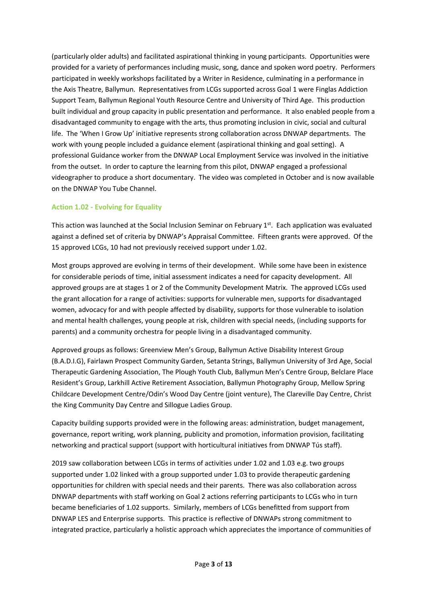(particularly older adults) and facilitated aspirational thinking in young participants. Opportunities were provided for a variety of performances including music, song, dance and spoken word poetry. Performers participated in weekly workshops facilitated by a Writer in Residence, culminating in a performance in the Axis Theatre, Ballymun. Representatives from LCGs supported across Goal 1 were Finglas Addiction Support Team, Ballymun Regional Youth Resource Centre and University of Third Age. This production built individual and group capacity in public presentation and performance. It also enabled people from a disadvantaged community to engage with the arts, thus promoting inclusion in civic, social and cultural life. The 'When I Grow Up' initiative represents strong collaboration across DNWAP departments. The work with young people included a guidance element (aspirational thinking and goal setting). A professional Guidance worker from the DNWAP Local Employment Service was involved in the initiative from the outset. In order to capture the learning from this pilot, DNWAP engaged a professional videographer to produce a short documentary. The video was completed in October and is now available on the DNWAP You Tube Channel.

# **Action 1.02 - Evolving for Equality**

This action was launched at the Social Inclusion Seminar on February 1<sup>st</sup>. Each application was evaluated against a defined set of criteria by DNWAP's Appraisal Committee. Fifteen grants were approved. Of the 15 approved LCGs, 10 had not previously received support under 1.02.

Most groups approved are evolving in terms of their development. While some have been in existence for considerable periods of time, initial assessment indicates a need for capacity development. All approved groups are at stages 1 or 2 of the Community Development Matrix. The approved LCGs used the grant allocation for a range of activities: supports for vulnerable men, supports for disadvantaged women, advocacy for and with people affected by disability, supports for those vulnerable to isolation and mental health challenges, young people at risk, children with special needs, (including supports for parents) and a community orchestra for people living in a disadvantaged community.

Approved groups as follows: Greenview Men's Group, Ballymun Active Disability Interest Group (B.A.D.I.G), Fairlawn Prospect Community Garden, Setanta Strings, Ballymun University of 3rd Age, Social Therapeutic Gardening Association, The Plough Youth Club, Ballymun Men's Centre Group, Belclare Place Resident's Group, Larkhill Active Retirement Association, Ballymun Photography Group, Mellow Spring Childcare Development Centre/Odin's Wood Day Centre (joint venture), The Clareville Day Centre, Christ the King Community Day Centre and Sillogue Ladies Group.

Capacity building supports provided were in the following areas: administration, budget management, governance, report writing, work planning, publicity and promotion, information provision, facilitating networking and practical support (support with horticultural initiatives from DNWAP Tús staff).

2019 saw collaboration between LCGs in terms of activities under 1.02 and 1.03 e.g. two groups supported under 1.02 linked with a group supported under 1.03 to provide therapeutic gardening opportunities for children with special needs and their parents. There was also collaboration across DNWAP departments with staff working on Goal 2 actions referring participants to LCGs who in turn became beneficiaries of 1.02 supports. Similarly, members of LCGs benefitted from support from DNWAP LES and Enterprise supports. This practice is reflective of DNWAPs strong commitment to integrated practice, particularly a holistic approach which appreciates the importance of communities of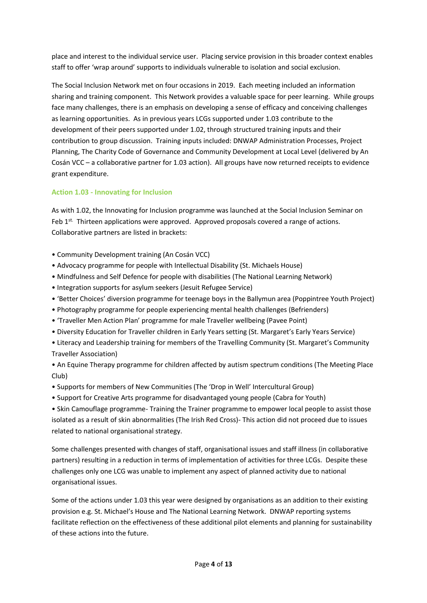place and interest to the individual service user. Placing service provision in this broader context enables staff to offer 'wrap around' supports to individuals vulnerable to isolation and social exclusion.

The Social Inclusion Network met on four occasions in 2019. Each meeting included an information sharing and training component. This Network provides a valuable space for peer learning. While groups face many challenges, there is an emphasis on developing a sense of efficacy and conceiving challenges as learning opportunities. As in previous years LCGs supported under 1.03 contribute to the development of their peers supported under 1.02, through structured training inputs and their contribution to group discussion. Training inputs included: DNWAP Administration Processes, Project Planning, The Charity Code of Governance and Community Development at Local Level (delivered by An Cosán VCC – a collaborative partner for 1.03 action). All groups have now returned receipts to evidence grant expenditure.

# **Action 1.03 - Innovating for Inclusion**

As with 1.02, the Innovating for Inclusion programme was launched at the Social Inclusion Seminar on Feb 1<sup>st.</sup> Thirteen applications were approved. Approved proposals covered a range of actions. Collaborative partners are listed in brackets:

- Community Development training (An Cosán VCC)
- Advocacy programme for people with Intellectual Disability (St. Michaels House)
- Mindfulness and Self Defence for people with disabilities (The National Learning Network)
- Integration supports for asylum seekers (Jesuit Refugee Service)
- 'Better Choices' diversion programme for teenage boys in the Ballymun area (Poppintree Youth Project)
- Photography programme for people experiencing mental health challenges (Befrienders)
- 'Traveller Men Action Plan' programme for male Traveller wellbeing (Pavee Point)
- Diversity Education for Traveller children in Early Years setting (St. Margaret's Early Years Service)
- Literacy and Leadership training for members of the Travelling Community (St. Margaret's Community Traveller Association)

• An Equine Therapy programme for children affected by autism spectrum conditions (The Meeting Place Club)

- Supports for members of New Communities (The 'Drop in Well' Intercultural Group)
- Support for Creative Arts programme for disadvantaged young people (Cabra for Youth)

• Skin Camouflage programme- Training the Trainer programme to empower local people to assist those isolated as a result of skin abnormalities (The Irish Red Cross)- This action did not proceed due to issues related to national organisational strategy.

Some challenges presented with changes of staff, organisational issues and staff illness (in collaborative partners) resulting in a reduction in terms of implementation of activities for three LCGs. Despite these challenges only one LCG was unable to implement any aspect of planned activity due to national organisational issues.

Some of the actions under 1.03 this year were designed by organisations as an addition to their existing provision e.g. St. Michael's House and The National Learning Network. DNWAP reporting systems facilitate reflection on the effectiveness of these additional pilot elements and planning for sustainability of these actions into the future.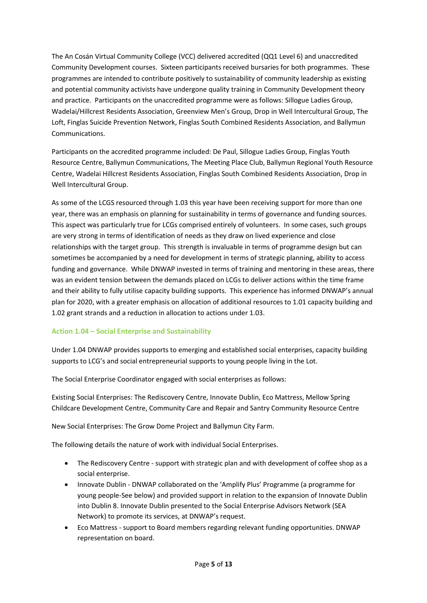The An Cosán Virtual Community College (VCC) delivered accredited (QQ1 Level 6) and unaccredited Community Development courses. Sixteen participants received bursaries for both programmes. These programmes are intended to contribute positively to sustainability of community leadership as existing and potential community activists have undergone quality training in Community Development theory and practice. Participants on the unaccredited programme were as follows: Sillogue Ladies Group, Wadelai/Hillcrest Residents Association, Greenview Men's Group, Drop in Well Intercultural Group, The Loft, Finglas Suicide Prevention Network, Finglas South Combined Residents Association, and Ballymun Communications.

Participants on the accredited programme included: De Paul, Sillogue Ladies Group, Finglas Youth Resource Centre, Ballymun Communications, The Meeting Place Club, Ballymun Regional Youth Resource Centre, Wadelai Hillcrest Residents Association, Finglas South Combined Residents Association, Drop in Well Intercultural Group.

As some of the LCGS resourced through 1.03 this year have been receiving support for more than one year, there was an emphasis on planning for sustainability in terms of governance and funding sources. This aspect was particularly true for LCGs comprised entirely of volunteers. In some cases, such groups are very strong in terms of identification of needs as they draw on lived experience and close relationships with the target group. This strength is invaluable in terms of programme design but can sometimes be accompanied by a need for development in terms of strategic planning, ability to access funding and governance. While DNWAP invested in terms of training and mentoring in these areas, there was an evident tension between the demands placed on LCGs to deliver actions within the time frame and their ability to fully utilise capacity building supports. This experience has informed DNWAP's annual plan for 2020, with a greater emphasis on allocation of additional resources to 1.01 capacity building and 1.02 grant strands and a reduction in allocation to actions under 1.03.

#### **Action 1.04 – Social Enterprise and Sustainability**

Under 1.04 DNWAP provides supports to emerging and established social enterprises, capacity building supports to LCG's and social entrepreneurial supports to young people living in the Lot.

The Social Enterprise Coordinator engaged with social enterprises as follows:

Existing Social Enterprises: The Rediscovery Centre, Innovate Dublin, Eco Mattress, Mellow Spring Childcare Development Centre, Community Care and Repair and Santry Community Resource Centre

New Social Enterprises: The Grow Dome Project and Ballymun City Farm.

The following details the nature of work with individual Social Enterprises.

- The Rediscovery Centre support with strategic plan and with development of coffee shop as a social enterprise.
- Innovate Dublin DNWAP collaborated on the 'Amplify Plus' Programme (a programme for young people-See below) and provided support in relation to the expansion of Innovate Dublin into Dublin 8. Innovate Dublin presented to the Social Enterprise Advisors Network (SEA Network) to promote its services, at DNWAP's request.
- Eco Mattress support to Board members regarding relevant funding opportunities. DNWAP representation on board.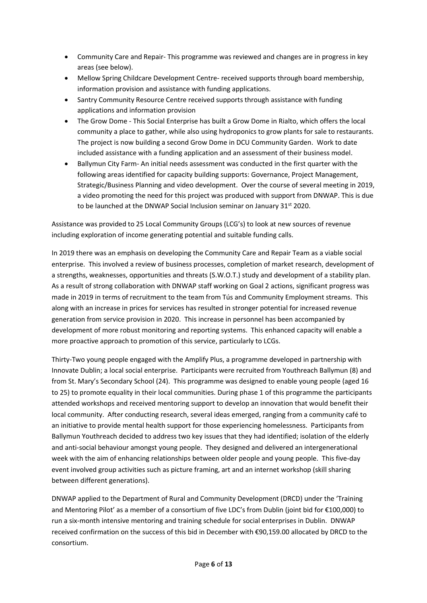- Community Care and Repair- This programme was reviewed and changes are in progress in key areas (see below).
- Mellow Spring Childcare Development Centre- received supports through board membership, information provision and assistance with funding applications.
- Santry Community Resource Centre received supports through assistance with funding applications and information provision
- The Grow Dome This Social Enterprise has built a Grow Dome in Rialto, which offers the local community a place to gather, while also using hydroponics to grow plants for sale to restaurants. The project is now building a second Grow Dome in DCU Community Garden. Work to date included assistance with a funding application and an assessment of their business model.
- Ballymun City Farm- An initial needs assessment was conducted in the first quarter with the following areas identified for capacity building supports: Governance, Project Management, Strategic/Business Planning and video development. Over the course of several meeting in 2019, a video promoting the need for this project was produced with support from DNWAP. This is due to be launched at the DNWAP Social Inclusion seminar on January 31<sup>st</sup> 2020.

Assistance was provided to 25 Local Community Groups (LCG's) to look at new sources of revenue including exploration of income generating potential and suitable funding calls.

In 2019 there was an emphasis on developing the Community Care and Repair Team as a viable social enterprise. This involved a review of business processes, completion of market research, development of a strengths, weaknesses, opportunities and threats (S.W.O.T.) study and development of a stability plan. As a result of strong collaboration with DNWAP staff working on Goal 2 actions, significant progress was made in 2019 in terms of recruitment to the team from Tús and Community Employment streams. This along with an increase in prices for services has resulted in stronger potential for increased revenue generation from service provision in 2020. This increase in personnel has been accompanied by development of more robust monitoring and reporting systems. This enhanced capacity will enable a more proactive approach to promotion of this service, particularly to LCGs.

Thirty-Two young people engaged with the Amplify Plus, a programme developed in partnership with Innovate Dublin; a local social enterprise. Participants were recruited from Youthreach Ballymun (8) and from St. Mary's Secondary School (24). This programme was designed to enable young people (aged 16 to 25) to promote equality in their local communities. During phase 1 of this programme the participants attended workshops and received mentoring support to develop an innovation that would benefit their local community. After conducting research, several ideas emerged, ranging from a community café to an initiative to provide mental health support for those experiencing homelessness. Participants from Ballymun Youthreach decided to address two key issues that they had identified; isolation of the elderly and anti-social behaviour amongst young people. They designed and delivered an intergenerational week with the aim of enhancing relationships between older people and young people. This five-day event involved group activities such as picture framing, art and an internet workshop (skill sharing between different generations).

DNWAP applied to the Department of Rural and Community Development (DRCD) under the 'Training and Mentoring Pilot' as a member of a consortium of five LDC's from Dublin (joint bid for €100,000) to run a six-month intensive mentoring and training schedule for social enterprises in Dublin. DNWAP received confirmation on the success of this bid in December with €90,159.00 allocated by DRCD to the consortium.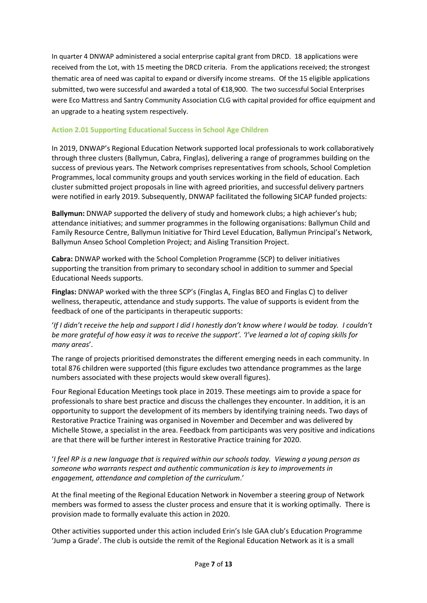In quarter 4 DNWAP administered a social enterprise capital grant from DRCD. 18 applications were received from the Lot, with 15 meeting the DRCD criteria. From the applications received; the strongest thematic area of need was capital to expand or diversify income streams. Of the 15 eligible applications submitted, two were successful and awarded a total of €18,900. The two successful Social Enterprises were Eco Mattress and Santry Community Association CLG with capital provided for office equipment and an upgrade to a heating system respectively.

### **Action 2.01 Supporting Educational Success in School Age Children**

In 2019, DNWAP's Regional Education Network supported local professionals to work collaboratively through three clusters (Ballymun, Cabra, Finglas), delivering a range of programmes building on the success of previous years. The Network comprises representatives from schools, School Completion Programmes, local community groups and youth services working in the field of education. Each cluster submitted project proposals in line with agreed priorities, and successful delivery partners were notified in early 2019. Subsequently, DNWAP facilitated the following SICAP funded projects:

**Ballymun:** DNWAP supported the delivery of study and homework clubs; a high achiever's hub; attendance initiatives; and summer programmes in the following organisations: Ballymun Child and Family Resource Centre, Ballymun Initiative for Third Level Education, Ballymun Principal's Network, Ballymun Anseo School Completion Project; and Aisling Transition Project.

**Cabra:** DNWAP worked with the School Completion Programme (SCP) to deliver initiatives supporting the transition from primary to secondary school in addition to summer and Special Educational Needs supports.

**Finglas:** DNWAP worked with the three SCP's (Finglas A, Finglas BEO and Finglas C) to deliver wellness, therapeutic, attendance and study supports. The value of supports is evident from the feedback of one of the participants in therapeutic supports:

'*If I didn't receive the help and support I did I honestly don't know where I would be today. I couldn't be more grateful of how easy it was to receive the support'. 'I've learned a lot of coping skills for many areas*'.

The range of projects prioritised demonstrates the different emerging needs in each community. In total 876 children were supported (this figure excludes two attendance programmes as the large numbers associated with these projects would skew overall figures).

Four Regional Education Meetings took place in 2019. These meetings aim to provide a space for professionals to share best practice and discuss the challenges they encounter. In addition, it is an opportunity to support the development of its members by identifying training needs. Two days of Restorative Practice Training was organised in November and December and was delivered by Michelle Stowe, a specialist in the area. Feedback from participants was very positive and indications are that there will be further interest in Restorative Practice training for 2020.

'*I feel RP is a new language that is required within our schools today. Viewing a young person as someone who warrants respect and authentic communication is key to improvements in engagement, attendance and completion of the curriculum*.'

At the final meeting of the Regional Education Network in November a steering group of Network members was formed to assess the cluster process and ensure that it is working optimally. There is provision made to formally evaluate this action in 2020.

Other activities supported under this action included Erin's Isle GAA club's Education Programme 'Jump a Grade'. The club is outside the remit of the Regional Education Network as it is a small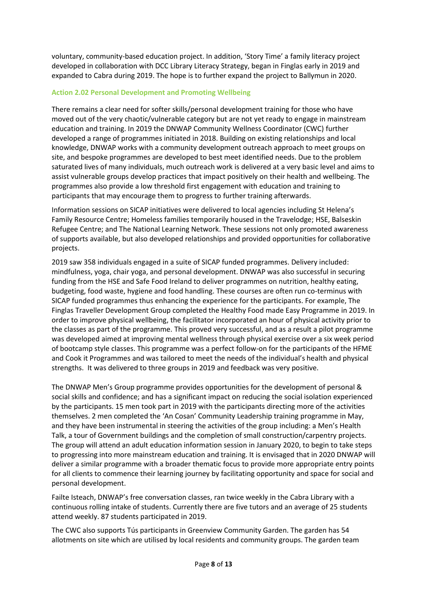voluntary, community-based education project. In addition, 'Story Time' a family literacy project developed in collaboration with DCC Library Literacy Strategy, began in Finglas early in 2019 and expanded to Cabra during 2019. The hope is to further expand the project to Ballymun in 2020.

# **Action 2.02 Personal Development and Promoting Wellbeing**

There remains a clear need for softer skills/personal development training for those who have moved out of the very chaotic/vulnerable category but are not yet ready to engage in mainstream education and training. In 2019 the DNWAP Community Wellness Coordinator (CWC) further developed a range of programmes initiated in 2018. Building on existing relationships and local knowledge, DNWAP works with a community development outreach approach to meet groups on site, and bespoke programmes are developed to best meet identified needs. Due to the problem saturated lives of many individuals, much outreach work is delivered at a very basic level and aims to assist vulnerable groups develop practices that impact positively on their health and wellbeing. The programmes also provide a low threshold first engagement with education and training to participants that may encourage them to progress to further training afterwards.

Information sessions on SICAP initiatives were delivered to local agencies including St Helena's Family Resource Centre; Homeless families temporarily housed in the Travelodge; HSE, Balseskin Refugee Centre; and The National Learning Network. These sessions not only promoted awareness of supports available, but also developed relationships and provided opportunities for collaborative projects.

2019 saw 358 individuals engaged in a suite of SICAP funded programmes. Delivery included: mindfulness, yoga, chair yoga, and personal development. DNWAP was also successful in securing funding from the HSE and Safe Food Ireland to deliver programmes on nutrition, healthy eating, budgeting, food waste, hygiene and food handling. These courses are often run co-terminus with SICAP funded programmes thus enhancing the experience for the participants. For example, The Finglas Traveller Development Group completed the Healthy Food made Easy Programme in 2019. In order to improve physical wellbeing, the facilitator incorporated an hour of physical activity prior to the classes as part of the programme. This proved very successful, and as a result a pilot programme was developed aimed at improving mental wellness through physical exercise over a six week period of bootcamp style classes. This programme was a perfect follow-on for the participants of the HFME and Cook it Programmes and was tailored to meet the needs of the individual's health and physical strengths. It was delivered to three groups in 2019 and feedback was very positive.

The DNWAP Men's Group programme provides opportunities for the development of personal & social skills and confidence; and has a significant impact on reducing the social isolation experienced by the participants. 15 men took part in 2019 with the participants directing more of the activities themselves. 2 men completed the 'An Cosan' Community Leadership training programme in May, and they have been instrumental in steering the activities of the group including: a Men's Health Talk, a tour of Government buildings and the completion of small construction/carpentry projects. The group will attend an adult education information session in January 2020, to begin to take steps to progressing into more mainstream education and training. It is envisaged that in 2020 DNWAP will deliver a similar programme with a broader thematic focus to provide more appropriate entry points for all clients to commence their learning journey by facilitating opportunity and space for social and personal development.

Failte Isteach, DNWAP's free conversation classes, ran twice weekly in the Cabra Library with a continuous rolling intake of students. Currently there are five tutors and an average of 25 students attend weekly. 87 students participated in 2019.

The CWC also supports Tús participants in Greenview Community Garden. The garden has 54 allotments on site which are utilised by local residents and community groups. The garden team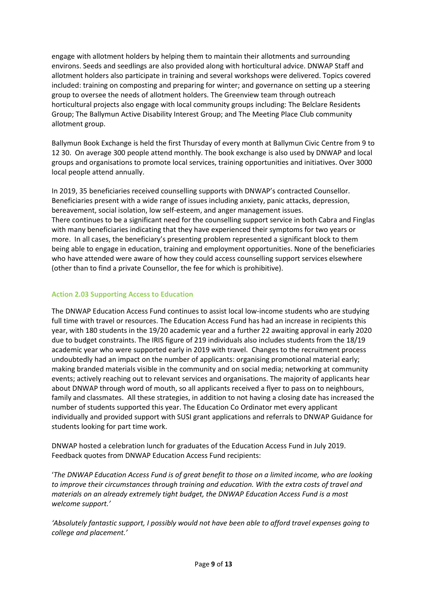engage with allotment holders by helping them to maintain their allotments and surrounding environs. Seeds and seedlings are also provided along with horticultural advice. DNWAP Staff and allotment holders also participate in training and several workshops were delivered. Topics covered included: training on composting and preparing for winter; and governance on setting up a steering group to oversee the needs of allotment holders. The Greenview team through outreach horticultural projects also engage with local community groups including: The Belclare Residents Group; The Ballymun Active Disability Interest Group; and The Meeting Place Club community allotment group.

Ballymun Book Exchange is held the first Thursday of every month at Ballymun Civic Centre from 9 to 12 30. On average 300 people attend monthly. The book exchange is also used by DNWAP and local groups and organisations to promote local services, training opportunities and initiatives. Over 3000 local people attend annually.

In 2019, 35 beneficiaries received counselling supports with DNWAP's contracted Counsellor. Beneficiaries present with a wide range of issues including anxiety, panic attacks, depression, bereavement, social isolation, low self-esteem, and anger management issues. There continues to be a significant need for the counselling support service in both Cabra and Finglas with many beneficiaries indicating that they have experienced their symptoms for two years or more. In all cases, the beneficiary's presenting problem represented a significant block to them being able to engage in education, training and employment opportunities. None of the beneficiaries who have attended were aware of how they could access counselling support services elsewhere (other than to find a private Counsellor, the fee for which is prohibitive).

# **Action 2.03 Supporting Access to Education**

The DNWAP Education Access Fund continues to assist local low-income students who are studying full time with travel or resources. The Education Access Fund has had an increase in recipients this year, with 180 students in the 19/20 academic year and a further 22 awaiting approval in early 2020 due to budget constraints. The IRIS figure of 219 individuals also includes students from the 18/19 academic year who were supported early in 2019 with travel. Changes to the recruitment process undoubtedly had an impact on the number of applicants: organising promotional material early; making branded materials visible in the community and on social media; networking at community events; actively reaching out to relevant services and organisations. The majority of applicants hear about DNWAP through word of mouth, so all applicants received a flyer to pass on to neighbours, family and classmates. All these strategies, in addition to not having a closing date has increased the number of students supported this year. The Education Co Ordinator met every applicant individually and provided support with SUSI grant applications and referrals to DNWAP Guidance for students looking for part time work.

DNWAP hosted a celebration lunch for graduates of the Education Access Fund in July 2019. Feedback quotes from DNWAP Education Access Fund recipients:

'*The DNWAP Education Access Fund is of great benefit to those on a limited income, who are looking to improve their circumstances through training and education. With the extra costs of travel and materials on an already extremely tight budget, the DNWAP Education Access Fund is a most welcome support.'*

*'Absolutely fantastic support, I possibly would not have been able to afford travel expenses going to college and placement.'*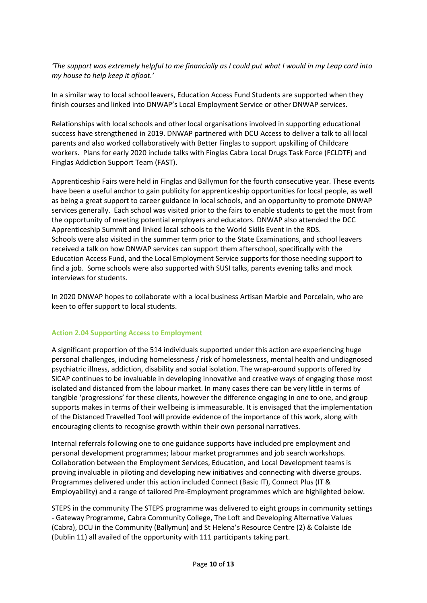*'The support was extremely helpful to me financially as I could put what I would in my Leap card into my house to help keep it afloat.'*

In a similar way to local school leavers, Education Access Fund Students are supported when they finish courses and linked into DNWAP's Local Employment Service or other DNWAP services.

Relationships with local schools and other local organisations involved in supporting educational success have strengthened in 2019. DNWAP partnered with DCU Access to deliver a talk to all local parents and also worked collaboratively with Better Finglas to support upskilling of Childcare workers. Plans for early 2020 include talks with Finglas Cabra Local Drugs Task Force (FCLDTF) and Finglas Addiction Support Team (FAST).

Apprenticeship Fairs were held in Finglas and Ballymun for the fourth consecutive year. These events have been a useful anchor to gain publicity for apprenticeship opportunities for local people, as well as being a great support to career guidance in local schools, and an opportunity to promote DNWAP services generally. Each school was visited prior to the fairs to enable students to get the most from the opportunity of meeting potential employers and educators. DNWAP also attended the DCC Apprenticeship Summit and linked local schools to the World Skills Event in the RDS. Schools were also visited in the summer term prior to the State Examinations, and school leavers received a talk on how DNWAP services can support them afterschool, specifically with the Education Access Fund, and the Local Employment Service supports for those needing support to find a job. Some schools were also supported with SUSI talks, parents evening talks and mock interviews for students.

In 2020 DNWAP hopes to collaborate with a local business Artisan Marble and Porcelain, who are keen to offer support to local students.

#### **Action 2.04 Supporting Access to Employment**

A significant proportion of the 514 individuals supported under this action are experiencing huge personal challenges, including homelessness / risk of homelessness, mental health and undiagnosed psychiatric illness, addiction, disability and social isolation. The wrap-around supports offered by SICAP continues to be invaluable in developing innovative and creative ways of engaging those most isolated and distanced from the labour market. In many cases there can be very little in terms of tangible 'progressions' for these clients, however the difference engaging in one to one, and group supports makes in terms of their wellbeing is immeasurable. It is envisaged that the implementation of the Distanced Travelled Tool will provide evidence of the importance of this work, along with encouraging clients to recognise growth within their own personal narratives.

Internal referrals following one to one guidance supports have included pre employment and personal development programmes; labour market programmes and job search workshops. Collaboration between the Employment Services, Education, and Local Development teams is proving invaluable in piloting and developing new initiatives and connecting with diverse groups. Programmes delivered under this action included Connect (Basic IT), Connect Plus (IT & Employability) and a range of tailored Pre-Employment programmes which are highlighted below.

STEPS in the community The STEPS programme was delivered to eight groups in community settings - Gateway Programme, Cabra Community College, The Loft and Developing Alternative Values (Cabra), DCU in the Community (Ballymun) and St Helena's Resource Centre (2) & Colaiste Ide (Dublin 11) all availed of the opportunity with 111 participants taking part.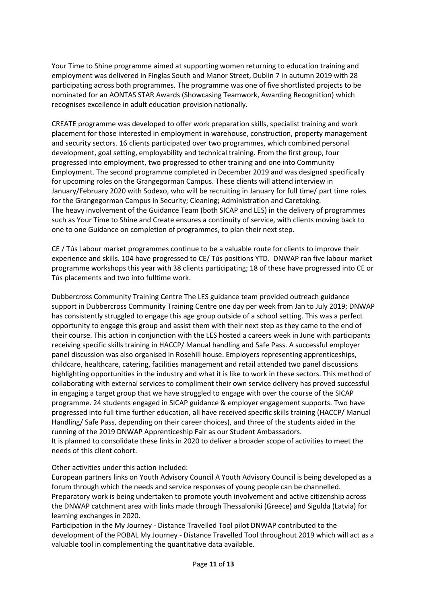Your Time to Shine programme aimed at supporting women returning to education training and employment was delivered in Finglas South and Manor Street, Dublin 7 in autumn 2019 with 28 participating across both programmes. The programme was one of five shortlisted projects to be nominated for an AONTAS STAR Awards (Showcasing Teamwork, Awarding Recognition) which recognises excellence in adult education provision nationally.

CREATE programme was developed to offer work preparation skills, specialist training and work placement for those interested in employment in warehouse, construction, property management and security sectors. 16 clients participated over two programmes, which combined personal development, goal setting, employability and technical training. From the first group, four progressed into employment, two progressed to other training and one into Community Employment. The second programme completed in December 2019 and was designed specifically for upcoming roles on the Grangegorman Campus. These clients will attend interview in January/February 2020 with Sodexo, who will be recruiting in January for full time/ part time roles for the Grangegorman Campus in Security; Cleaning; Administration and Caretaking. The heavy involvement of the Guidance Team (both SICAP and LES) in the delivery of programmes such as Your Time to Shine and Create ensures a continuity of service, with clients moving back to one to one Guidance on completion of programmes, to plan their next step.

CE / Tús Labour market programmes continue to be a valuable route for clients to improve their experience and skills. 104 have progressed to CE/ Tús positions YTD. DNWAP ran five labour market programme workshops this year with 38 clients participating; 18 of these have progressed into CE or Tús placements and two into fulltime work.

Dubbercross Community Training Centre The LES guidance team provided outreach guidance support in Dubbercross Community Training Centre one day per week from Jan to July 2019; DNWAP has consistently struggled to engage this age group outside of a school setting. This was a perfect opportunity to engage this group and assist them with their next step as they came to the end of their course. This action in conjunction with the LES hosted a careers week in June with participants receiving specific skills training in HACCP/ Manual handling and Safe Pass. A successful employer panel discussion was also organised in Rosehill house. Employers representing apprenticeships, childcare, healthcare, catering, facilities management and retail attended two panel discussions highlighting opportunities in the industry and what it is like to work in these sectors. This method of collaborating with external services to compliment their own service delivery has proved successful in engaging a target group that we have struggled to engage with over the course of the SICAP programme. 24 students engaged in SICAP guidance & employer engagement supports. Two have progressed into full time further education, all have received specific skills training (HACCP/ Manual Handling/ Safe Pass, depending on their career choices), and three of the students aided in the running of the 2019 DNWAP Apprenticeship Fair as our Student Ambassadors. It is planned to consolidate these links in 2020 to deliver a broader scope of activities to meet the needs of this client cohort.

# Other activities under this action included:

European partners links on Youth Advisory Council A Youth Advisory Council is being developed as a forum through which the needs and service responses of young people can be channelled. Preparatory work is being undertaken to promote youth involvement and active citizenship across the DNWAP catchment area with links made through Thessaloniki (Greece) and Sigulda (Latvia) for learning exchanges in 2020.

Participation in the My Journey - Distance Travelled Tool pilot DNWAP contributed to the development of the POBAL My Journey - Distance Travelled Tool throughout 2019 which will act as a valuable tool in complementing the quantitative data available.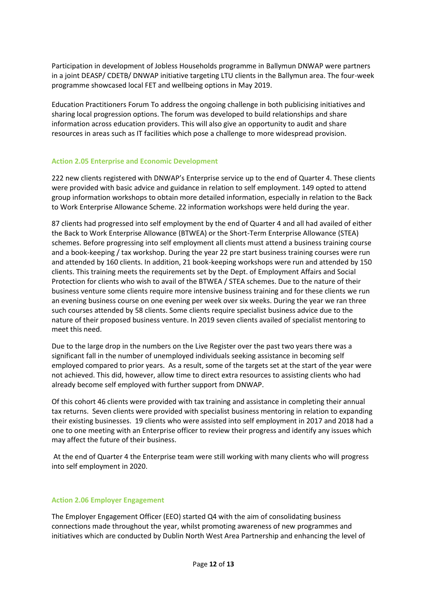Participation in development of Jobless Households programme in Ballymun DNWAP were partners in a joint DEASP/ CDETB/ DNWAP initiative targeting LTU clients in the Ballymun area. The four-week programme showcased local FET and wellbeing options in May 2019.

Education Practitioners Forum To address the ongoing challenge in both publicising initiatives and sharing local progression options. The forum was developed to build relationships and share information across education providers. This will also give an opportunity to audit and share resources in areas such as IT facilities which pose a challenge to more widespread provision.

#### **Action 2.05 Enterprise and Economic Development**

222 new clients registered with DNWAP's Enterprise service up to the end of Quarter 4. These clients were provided with basic advice and guidance in relation to self employment. 149 opted to attend group information workshops to obtain more detailed information, especially in relation to the Back to Work Enterprise Allowance Scheme. 22 information workshops were held during the year.

87 clients had progressed into self employment by the end of Quarter 4 and all had availed of either the Back to Work Enterprise Allowance (BTWEA) or the Short-Term Enterprise Allowance (STEA) schemes. Before progressing into self employment all clients must attend a business training course and a book-keeping / tax workshop. During the year 22 pre start business training courses were run and attended by 160 clients. In addition, 21 book-keeping workshops were run and attended by 150 clients. This training meets the requirements set by the Dept. of Employment Affairs and Social Protection for clients who wish to avail of the BTWEA / STEA schemes. Due to the nature of their business venture some clients require more intensive business training and for these clients we run an evening business course on one evening per week over six weeks. During the year we ran three such courses attended by 58 clients. Some clients require specialist business advice due to the nature of their proposed business venture. In 2019 seven clients availed of specialist mentoring to meet this need.

Due to the large drop in the numbers on the Live Register over the past two years there was a significant fall in the number of unemployed individuals seeking assistance in becoming self employed compared to prior years. As a result, some of the targets set at the start of the year were not achieved. This did, however, allow time to direct extra resources to assisting clients who had already become self employed with further support from DNWAP.

Of this cohort 46 clients were provided with tax training and assistance in completing their annual tax returns. Seven clients were provided with specialist business mentoring in relation to expanding their existing businesses. 19 clients who were assisted into self employment in 2017 and 2018 had a one to one meeting with an Enterprise officer to review their progress and identify any issues which may affect the future of their business.

At the end of Quarter 4 the Enterprise team were still working with many clients who will progress into self employment in 2020.

#### **Action 2.06 Employer Engagement**

The Employer Engagement Officer (EEO) started Q4 with the aim of consolidating business connections made throughout the year, whilst promoting awareness of new programmes and initiatives which are conducted by Dublin North West Area Partnership and enhancing the level of